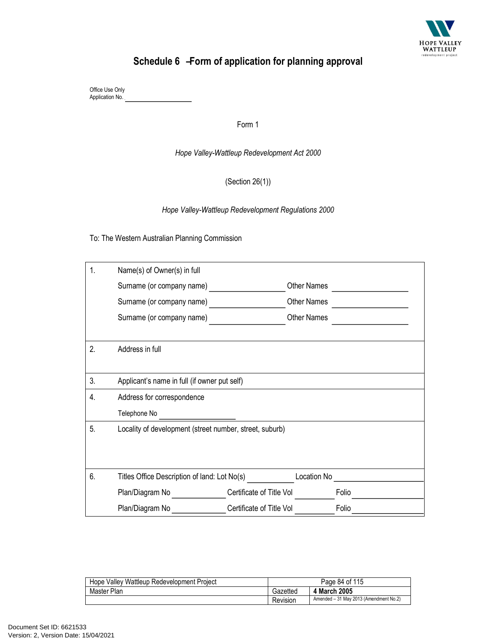

## Schedule 6 – Form of application for planning approval

 Office Use Only Application No.

Form 1

 *Hope Valley-Wattleup Redevelopment Act 2000* 

(Section 26(1))

 *Hope Valley-Wattleup Redevelopment Regulations 2000* 

To: The Western Australian Planning Commission

| 1. | Name(s) of Owner(s) in full                             |                          |                    |       |  |
|----|---------------------------------------------------------|--------------------------|--------------------|-------|--|
|    | Surname (or company name)                               |                          | Other Names        |       |  |
|    | Surname (or company name)                               |                          | <b>Other Names</b> |       |  |
|    | Surname (or company name)                               |                          | <b>Other Names</b> |       |  |
|    |                                                         |                          |                    |       |  |
| 2. | Address in full                                         |                          |                    |       |  |
|    |                                                         |                          |                    |       |  |
| 3. | Applicant's name in full (if owner put self)            |                          |                    |       |  |
| 4. | Address for correspondence                              |                          |                    |       |  |
|    | Telephone No                                            |                          |                    |       |  |
| 5. | Locality of development (street number, street, suburb) |                          |                    |       |  |
|    |                                                         |                          |                    |       |  |
|    |                                                         |                          |                    |       |  |
| 6. | Titles Office Description of land: Lot No(s)            |                          | Location No        |       |  |
|    | Plan/Diagram No                                         | Certificate of Title Vol |                    | Folio |  |
|    | Plan/Diagram No                                         | Certificate of Title Vol |                    | Folio |  |

| Hope Valley Wattleup Redevelopment Project | Page 84 of 115 |                                        |
|--------------------------------------------|----------------|----------------------------------------|
| Master Plan                                | Gazetted       | 4 March 2005                           |
|                                            | Revision       | Amended - 31 May 2013 (Amendment No.2) |